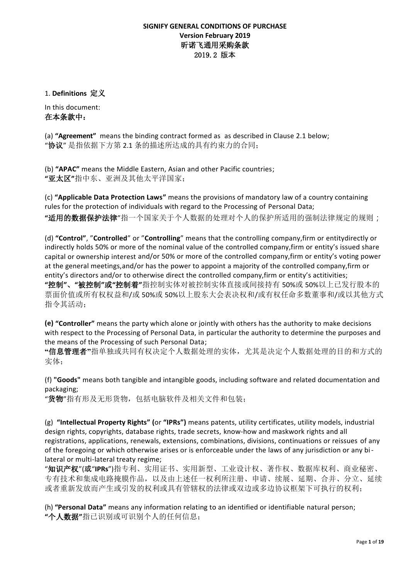#### **SIGNIFY GENERAL CONDITIONS OF PURCHASE Version February 2019** 昕诺飞通用采购条款 2019.2 版本

1. **Definitions** 定义

In this document: 在本条款中:

(a) **"Agreement"** means the binding contract formed as as described in Clause 2.1 below; "协议" 是指依据下方第 2.1 条的描述所达成的具有约束力的合同;

(b) **"APAC"** means the Middle Eastern, Asian and other Pacific countries; **"**亚太区**"**指中东、亚洲及其他太平洋国家;

(c) **"Applicable Data Protection Laws"** means the provisions of mandatory law of a country containing rules for the protection of individuals with regard to the Processing of Personal Data; **"**适用的数据保护法律"指一个国家关于个人数据的处理对个人的保护所适用的强制法律规定的规则;

(d) **"Control"**, "**Controlled**" or "**Controlling**" means that the controlling company,firm or entitydirectly or indirectly holds 50% or more of the nominal value of the controlled company,firm or entity's issued share capital or ownership interest and/or 50% or more of the controlled company,firm or entity's voting power at the general meetings,and/or has the power to appoint a majority of the controlled company,firm or entity's directors and/or to otherwise direct the controlled company,firm or entity's actitivities; **"**控制**"**、**"**被控制**"**或**"**控制着**"**指控制实体对被控制实体直接或间接持有 50%或 50%以上已发行股本的 票面价值或所有权权益和/或 50%或 50%以上股东大会表决权和/或有权任命多数董事和/或以其他方式 指令其活动;

**(e) "Controller"** means the party which alone or jointly with others has the authority to make decisions with respect to the Processing of Personal Data, in particular the authority to determine the purposes and the means of the Processing of such Personal Data;

**"**信息管理者**"**指单独或共同有权决定个人数据处理的实体,尤其是决定个人数据处理的目的和方式的 实体;

(f) **"Goods"** means both tangible and intangible goods, including software and related documentation and packaging;

"货物"指有形及无形货物,包括电脑软件及相关文件和包装;

(g) **"Intellectual Property Rights" (**or **"IPRs")** means patents, utility certificates, utility models, industrial design rights, copyrights, database rights, trade secrets, know-how and maskwork rights and all registrations, applications, renewals, extensions, combinations, divisions, continuations or reissues of any of the foregoing or which otherwise arises or is enforceable under the laws of any jurisdiction or any bilateral or multi-lateral treaty regime;

"知识产权"(或"**IPRs**")指专利、实用证书、实用新型、工业设计权、著作权、数据库权利、商业秘密、 专有技术和集成电路掩膜作品,以及由上述任一权利所注册、申请、续展、延期、合并、分立、延续 或者重新发放而产生或引发的权利或具有管辖权的法律或双边或多边协议框架下可执行的权利;

(h) **"Personal Data"** means any information relating to an identified or identifiable natural person; **"**个人数据**"**指已识别或可识别个人的任何信息;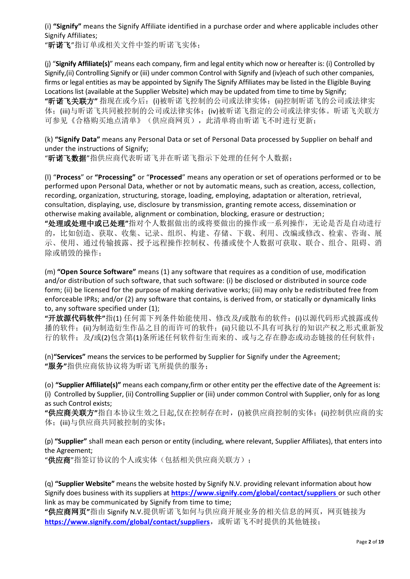(i) **"Signify"** means the Signify Affiliate identified in a purchase order and where applicable includes other Signify Affiliates;

"昕诺飞"指订单或相关文件中签约昕诺飞实体;

(j) "**Signify Affiliate(s)**" means each company, firm and legal entity which now or hereafter is: (i) Controlled by Signify,(ii) Controlling Signify or (iii) under common Control with Signify and (iv)each of such other companies, firms or legal entities as may be appointed by Signify The Signify Affiliates may be listed in the Eligible Buying Locations list (available at the Supplier Website) which may be updated from time to time by Signify; **"**昕诺飞关联方**"** 指现在或今后:(i)被昕诺飞控制的公司或法律实体;(ii)控制昕诺飞的公司或法律实 体;(iii)与昕诺飞共同被控制的公司或法律实体;(iv)被昕诺飞指定的公司或法律实体。昕诺飞关联方 可参见《合格购买地点清单》(供应商网页),此清单将由昕诺飞不时进行更新;

(k) **"Signify Data"** means any Personal Data or set of Personal Data processed by Supplier on behalf and under the instructions of Signify;

"昕诺飞数据"指供应商代表昕诺飞并在昕诺飞指示下处理的任何个人数据;

(l) "**Process**" or **"Processing"** or "**Processed**" means any operation or set of operations performed or to be performed upon Personal Data, whether or not by automatic means, such as creation, access, collection, recording, organization, structuring, storage, loading, employing, adaptation or alteration, retrieval, consultation, displaying, use, disclosure by transmission, granting remote access, dissemination or otherwise making available, alignment or combination, blocking, erasure or destruction;

**"**处理或处理中或已处理**"**指对个人数据做出的或将要做出的操作或一系列操作,无论是否是自动进行 的,比如创造、获取、收集、记录、组织、构建、存储、下载、利用、改编或修改、检索、咨询、展 示、使用、通过传输披露、授予远程操作控制权、传播或使个人数据可获取、联合、组合、阻碍、消 除或销毁的操作;

(m) **"Open Source Software"** means (1) any software that requires as a condition of use, modification and/or distribution of such software, that such software: (i) be disclosed or distributed in source code form; (ii) be licensed for the purpose of making derivative works; (iii) may only be redistributed free from enforceable IPRs; and/or (2) any software that contains, is derived from, or statically or dynamically links to, any software specified under (1);

**"**开放源代码软件**"**指(1) 任何需下列条件始能使用、修改及/或散布的软件:(i)以源代码形式披露或传 播的软件;(ii)为制造衍生作品之目的而许可的软件;(ii)只能以不具有可执行的知识产权之形式重新发 行的软件;及/或(2)包含第(1)条所述任何软件衍生而来的、或与之存在静态或动态链接的任何软件;

(n)**"Services"** means the services to be performed by Supplier for Signify under the Agreement; **"**服务**"**指供应商依协议将为昕诺飞所提供的服务;

(o) **"Supplier Affiliate(s)"** means each company,firm or other entity per the effective date of the Agreement is: (i) Controlled by Supplier, (ii) Controlling Supplier or (iii) under common Control with Supplier, only for as long as such Control exists;

**"**供应商关联方**"**指自本协议生效之日起,仅在控制存在时,(i)被供应商控制的实体;(ii)控制供应商的实 体;(iii)与供应商共同被控制的实体;

(p) **"Supplier"** shall mean each person or entity (including, where relevant, Supplier Affiliates), that enters into the Agreement;

"供应商"指签订协议的个人或实体(包括相关供应商关联方);

(q) **"Supplier Website"** means the website hosted by Signify N.V. providing relevant information about how Signify does business with its suppliers at **<https://www.signify.com/global/contact/suppliers>** or such other link as may be communicated by Signify from time to time;

**"**供应商网页**"**指由 Signify N.V.提供昕诺飞如何与供应商开展业务的相关信息的网页,网页链接为 <https://www.signify.com/global/contact/suppliers>, 或昕诺飞不时提供的其他链接;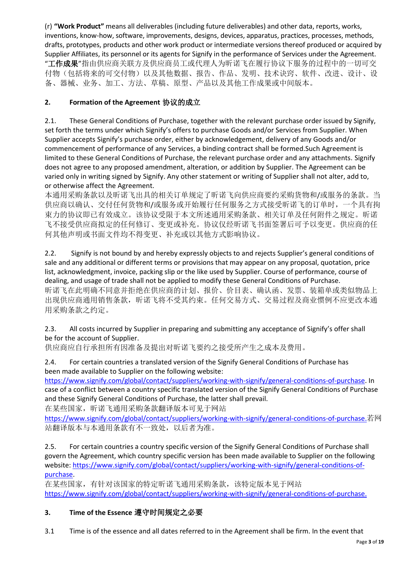(r) **"Work Product"** means all deliverables (including future deliverables) and other data, reports, works, inventions, know-how, software, improvements, designs, devices, apparatus, practices, processes, methods, drafts, prototypes, products and other work product or intermediate versions thereof produced or acquired by Supplier Affiliates, its personnel or its agents for Signify in the performance of Services under the Agreement. "**工作成果**"指由供应商关联方及供应商员工或代理人为昕诺飞在履行协议下服务的过程中的一切可交 付物(包括将来的可交付物)以及其他数据、报告、作品、发明、技术诀窍、软件、改进、设计、设 备、器械、业务、加工、方法、草稿、原型、产品以及其他工作成果或中间版本。

# **2. Formation of the Agreement** 协议的成立

2.1. These General Conditions of Purchase, together with the relevant purchase order issued by Signify, set forth the terms under which Signify's offers to purchase Goods and/or Services from Supplier. When Supplier accepts Signify's purchase order, either by acknowledgement, delivery of any Goods and/or commencement of performance of any Services, a binding contract shall be formed.Such Agreement is limited to these General Conditions of Purchase, the relevant purchase order and any attachments. Signify does not agree to any proposed amendment, alteration, or addition by Supplier. The Agreement can be varied only in writing signed by Signify. Any other statement or writing of Supplier shall not alter, add to, or otherwise affect the Agreement.

本通用采购条款以及昕诺飞出具的相关订单规定了昕诺飞向供应商要约采购货物和/或服务的条款。当 供应商以确认、交付任何货物和/或服务或开始履行任何服务之方式接受昕诺飞的订单时,一个具有拘 束力的协议即已有效成立。该协议受限于本文所述通用采购条款、相关订单及任何附件之规定。昕诺 飞不接受供应商拟定的任何修订、变更或补充。协议仅经昕诺飞书面签署后可予以变更。供应商的任 何其他声明或书面文件均不得变更、补充或以其他方式影响协议。

2.2. Signify is not bound by and hereby expressly objects to and rejects Supplier's general conditions of sale and any additional or different terms or provisions that may appear on any proposal, quotation, price list, acknowledgment, invoice, packing slip or the like used by Supplier. Course of performance, course of dealing, and usage of trade shall not be applied to modify these General Conditions of Purchase. 昕诺飞在此明确不同意并拒绝在供应商的计划、报价、价目表、确认函、发票、装箱单或类似物品上 出现供应商通用销售条款,昕诺飞将不受其约束。任何交易方式、交易过程及商业惯例不应更改本通 用采购条款之约定。

2.3. All costs incurred by Supplier in preparing and submitting any acceptance of Signify's offer shall be for the account of Supplier.

供应商应自行承担所有因准备及提出对昕诺飞要约之接受所产生之成本及费用。

2.4. For certain countries a translated version of the Signify General Conditions of Purchase has been made available to Supplier on the following website:

[https://www.signify.com/global/contact/suppliers/working-with-signify/general-conditions-of-purchase.](https://www.signify.com/global/contact/suppliers/working-with-signify/general-conditions-of-purchase) In case of a conflict between a country specific translated version of the Signify General Conditions of Purchase and these Signify General Conditions of Purchase, the latter shall prevail.

在某些国家, 昕诺飞通用采购条款翻译版本可见于网站

[https://www.signify.com/global/contact/suppliers/working-with-signify/general-conditions-of-purchase.](https://www.signify.com/global/contact/suppliers/working-with-signify/general-conditions-of-purchase)若网 站翻译版本与本通用条款有不一致处,以后者为准。

2.5. For certain countries a country specific version of the Signify General Conditions of Purchase shall govern the Agreement, which country specific version has been made available to Supplier on the following website[: https://www.signify.com/global/contact/suppliers/working-with-signify/general-conditions-of](https://www.signify.com/global/contact/suppliers/working-with-signify/general-conditions-of-purchase)[purchase.](https://www.signify.com/global/contact/suppliers/working-with-signify/general-conditions-of-purchase)

在某些国家,有针对该国家的特定昕诺飞通用采购条款,该特定版本见于网站 [https://www.signify.com/global/contact/suppliers/working-with-signify/general-conditions-of-purchase.](https://www.signify.com/global/contact/suppliers/working-with-signify/general-conditions-of-purchase)

# **3. Time of the Essence** 遵守时间规定之必要

3.1 Time is of the essence and all dates referred to in the Agreement shall be firm. In the event that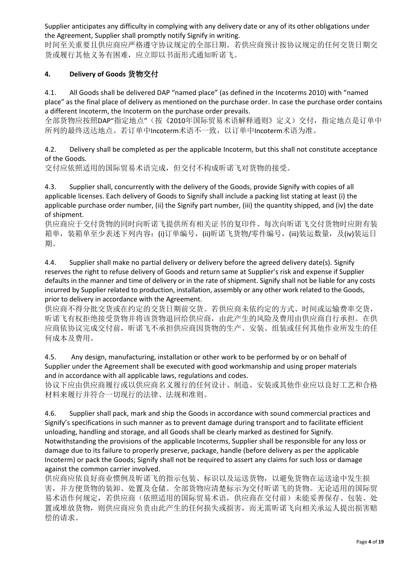Supplier anticipates any difficulty in complying with any delivery date or any of its other obligations under the Agreement, Supplier shall promptly notify Signify in writing.

时间至关重要且供应商应严格遵守协议规定的全部日期。若供应商预计按协议规定的任何交货日期交 货或履行其他义务有困难,应立即以书面形式通知昕诺飞。

### **4. Delivery of Goods** 货物交付

4.1. All Goods shall be delivered DAP "named place" (as defined in the Incoterms 2010) with "named place" as the final place of delivery as mentioned on the purchase order. In case the purchase order contains a different Incoterm, the Incoterm on the purchase order prevails.

全部货物应按照DAP"指定地点"(按《2010年国际贸易术语解释通则》定义)交付,指定地点是订单中 所列的最终送达地点。若订单中Incoterm术语不一致,以订单中Incoterm术语为准。

4.2. Delivery shall be completed as per the applicable Incoterm, but this shall not constitute acceptance of the Goods.

交付应依照适用的国际贸易术语完成,但交付不构成昕诺飞对货物的接受。

4.3. Supplier shall, concurrently with the delivery of the Goods, provide Signify with copies of all applicable licenses. Each delivery of Goods to Signify shall include a packing list stating at least (i) the applicable purchase order number, (ii) the Signify part number, (iii) the quantity shipped, and (iv) the date of shipment.

供应商应于交付货物的同时向昕诺飞提供所有相关证书的复印件。每次向昕诺飞交付货物时应附有装 箱单,装箱单至少表述下列内容: (i)订单编号,(ii)昕诺飞货物/零件编号,(iii)装运数量,及(iv)装运日 期。

4.4. Supplier shall make no partial delivery or delivery before the agreed delivery date(s). Signify reserves the right to refuse delivery of Goods and return same at Supplier's risk and expense if Supplier defaults in the manner and time of delivery or in the rate of shipment. Signify shall not be liable for any costs incurred by Supplier related to production, installation, assembly or any other work related to the Goods, prior to delivery in accordance with the Agreement.

供应商不得分批交货或在约定的交货日期前交货。若供应商未依约定的方式、时间或运输费率交货, 昕诺飞有权拒绝接受货物并将该货物退回给供应商,由此产生的风险及费用由供应商自行承担。在供 应商依协议完成交付前,昕诺飞不承担供应商因货物的生产、安装、组装或任何其他作业所发生的任 何成本及费用。

4.5. Any design, manufacturing, installation or other work to be performed by or on behalf of Supplier under the Agreement shall be executed with good workmanship and using proper materials and in accordance with all applicable laws, regulations and codes.

协议下应由供应商履行或以供应商名义履行的任何设计、制造、安装或其他作业应以良好工艺和合格 材料来履行并符合一切现行的法律、法规和准则。

4.6. Supplier shall pack, mark and ship the Goods in accordance with sound commercial practices and Signify's specifications in such manner as to prevent damage during transport and to facilitate efficient unloading, handling and storage, and all Goods shall be clearly marked as destined for Signify. Notwithstanding the provisions of the applicable Incoterms, Supplier shall be responsible for any loss or damage due to its failure to properly preserve, package, handle (before delivery as per the applicable Incoterm) or pack the Goods; Signify shall not be required to assert any claims for such loss or damage against the common carrier involved.

供应商应依良好商业惯例及昕诺飞的指示包装、标识以及运送货物,以避免货物在运送途中发生损 害,并方便货物的装卸、处置及仓储。全部货物应清楚标示为交付昕诺飞的货物。无论适用的国际贸 易术语作何规定,若供应商(依照适用的国际贸易术语,供应商在交付前)未能妥善保存、包装、处 置或堆放货物,则供应商应负责由此产生的任何损失或损害,而无需昕诺飞向相关承运人提出损害赔 偿的请求。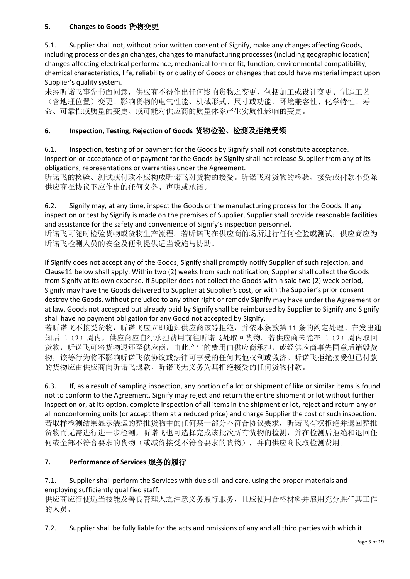### **5. Changes to Goods** 货物变更

5.1. Supplier shall not, without prior written consent of Signify, make any changes affecting Goods, including process or design changes, changes to manufacturing processes (including geographic location) changes affecting electrical performance, mechanical form or fit, function, environmental compatibility, chemical characteristics, life, reliability or quality of Goods or changes that could have material impact upon Supplier's quality system.

未经昕诺飞事先书面同意,供应商不得作出任何影响货物之变更,包括加工或设计变更、制造工艺 (含地理位置)变更、影响货物的电气性能、机械形式、尺寸或功能、环境兼容性、化学特性、寿 命、可靠性或质量的变更、或可能对供应商的质量体系产生实质性影响的变更。

### **6. Inspection, Testing, Rejection of Goods** 货物检验、检测及拒绝受领

6.1. Inspection, testing of or payment for the Goods by Signify shall not constitute acceptance. Inspection or acceptance of or payment for the Goods by Signify shall not release Supplier from any of its obligations, representations or warranties under the Agreement.

昕诺飞的检验、测试或付款不应构成昕诺飞对货物的接受。昕诺飞对货物的检验、接受或付款不免除 供应商在协议下应作出的任何义务、声明或承诺。

6.2. Signify may, at any time, inspect the Goods or the manufacturing process for the Goods. If any inspection or test by Signify is made on the premises of Supplier, Supplier shall provide reasonable facilities and assistance for the safety and convenience of Signify's inspection personnel.

昕诺飞可随时检验货物或货物生产流程。若昕诺飞在供应商的场所进行任何检验或测试,供应商应为 昕诺飞检测人员的安全及便利提供适当设施与协助。

If Signify does not accept any of the Goods, Signify shall promptly notify Supplier of such rejection, and Clause11 below shall apply. Within two (2) weeks from such notification, Supplier shall collect the Goods from Signify at its own expense. If Supplier does not collect the Goods within said two (2) week period, Signify may have the Goods delivered to Supplier at Supplier's cost, or with the Supplier's prior consent destroy the Goods, without prejudice to any other right or remedy Signify may have under the Agreement or at law. Goods not accepted but already paid by Signify shall be reimbursed by Supplier to Signify and Signify shall have no payment obligation for any Good not accepted by Signify.

若昕诺飞不接受货物,昕诺飞应立即通知供应商该等拒绝,并依本条款第 11 条的约定处理。在发出通 知后二(2)周内,供应商应自行承担费用前往昕诺飞处取回货物。若供应商未能在二(2)周内取回 货物, 听诺飞可将货物退还至供应商, 由此产生的费用由供应商承担, 或经供应商事先同意后销毁货 物,该等行为将不影响昕诺飞依协议或法律可享受的任何其他权利或救济。昕诺飞拒绝接受但已付款 的货物应由供应商向昕诺飞退款,昕诺飞无义务为其拒绝接受的任何货物付款。

6.3. If, as a result of sampling inspection, any portion of a lot or shipment of like or similar items is found not to conform to the Agreement, Signify may reject and return the entire shipment or lot without further inspection or, at its option, complete inspection of all items in the shipment or lot, reject and return any or all nonconforming units (or accept them at a reduced price) and charge Supplier the cost of such inspection. 若取样检测结果显示装运的整批货物中的任何某一部分不符合协议要求,昕诺飞有权拒绝并退回整批 货物而无需进行进一步检测, 昕诺飞也可选择完成该批次所有货物的检测, 并在检测后拒绝和退回任 何或全部不符合要求的货物(或减价接受不符合要求的货物),并向供应商收取检测费用。

#### **7. Performance of Services** 服务的履行

#### 7.1. Supplier shall perform the Services with due skill and care, using the proper materials and employing sufficiently qualified staff.

供应商应行使适当技能及善良管理人之注意义务履行服务,且应使用合格材料并雇用充分胜任其工作 的人员。

7.2. Supplier shall be fully liable for the acts and omissions of any and all third parties with which it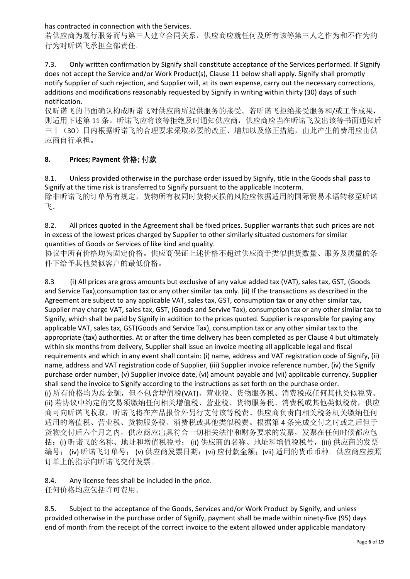has contracted in connection with the Services.

若供应商为履行服务而与第三人建立合同关系,供应商应就任何及所有该等第三人之作为和不作为的 行为对昕诺飞承担全部责任。

7.3. Only written confirmation by Signify shall constitute acceptance of the Services performed. If Signify does not accept the Service and/or Work Product(s), Clause 11 below shall apply. Signify shall promptly notify Supplier of such rejection, and Supplier will, at its own expense, carry out the necessary corrections, additions and modifications reasonably requested by Signify in writing within thirty (30) days of such notification.

仅昕诺飞的书面确认构成昕诺飞对供应商所提供服务的接受。若昕诺飞拒绝接受服务和/或工作成果, 则适用下述第 11 条。昕诺飞应将该等拒绝及时通知供应商,供应商应当在昕诺飞发出该等书面通知后 三十(30)日内根据听诺飞的合理要求采取必要的改正、增加以及修正措施,由此产生的费用应由供 应商自行承担。

## **8. Prices; Payment** 价格**;** 付款

8.1. Unless provided otherwise in the purchase order issued by Signify, title in the Goods shall pass to Signify at the time risk is transferred to Signify pursuant to the applicable Incoterm. 除非昕诺飞的订单另有规定,货物所有权同时货物灭损的风险应依据适用的国际贸易术语转移至昕诺 飞。

8.2. All prices quoted in the Agreement shall be fixed prices. Supplier warrants that such prices are not in excess of the lowest prices charged by Supplier to other similarly situated customers for similar quantities of Goods or Services of like kind and quality.

协议中所有价格均为固定价格。供应商保证上述价格不超过供应商于类似供货数量、服务及质量的条 件下给予其他类似客户的最低价格。

8.3 (i) All prices are gross amounts but exclusive of any value added tax (VAT), sales tax, GST, (Goods and Service Tax),consumption tax or any other similar tax only. (ii) If the transactions as described in the Agreement are subject to any applicable VAT, sales tax, GST, consumption tax or any other similar tax, Supplier may charge VAT, sales tax, GST, (Goods and Servive Tax), consumption tax or any other similar tax to Signify, which shall be paid by Signify in addition to the prices quoted. Supplier is responsible for paying any applicable VAT, sales tax, GST(Goods and Service Tax), consumption tax or any other similar tax to the appropriate (tax) authorities. At or after the time delivery has been completed as per Clause 4 but ultimately within six months from delivery, Supplier shall issue an invoice meeting all applicable legal and fiscal requirements and which in any event shall contain: (i) name, address and VAT registration code of Signify, (ii) name, address and VAT registration code of Supplier, (iii) Supplier invoice reference number, (iv) the Signify purchase order number, (v) Supplier invoice date, (vi) amount payable and (vii) applicable currency. Supplier shall send the invoice to Signify according to the instructions as set forth on the purchase order. (i) 所有价格均为总金额,但不包含增值税(VAT)、营业税、货物服务税、消费税或任何其他类似税费。 (ii) 若协议中约定的交易须缴纳任何相关增值税、营业税、货物服务税、消费税或其他类似税费,供应 商可向昕诺飞收取,昕诺飞将在产品报价外另行支付该等税费。供应商负责向相关税务机关缴纳任何 适用的增值税、营业税、货物服务税、消费税或其他类似税费。根据第 4 条完成交付之时或之后但于 货物交付后六个月之内,供应商应出具符合一切相关法律和财务要求的发票,发票在任何时候都应包 括: (i) 昕诺飞的名称、地址和增值税税号; (ii) 供应商的名称、地址和增值税税号, (iii) 供应商的发票 编号; (iv) 昕诺飞订单号; (v) 供应商发票日期; (vi) 应付款金额; (vii) 适用的货币币种。供应商应按照 订单上的指示向昕诺飞交付发票。

# 8.4. Any license fees shall be included in the price.

任何价格均应包括许可费用。

8.5. Subject to the acceptance of the Goods, Services and/or Work Product by Signify, and unless provided otherwise in the purchase order of Signify, payment shall be made within ninety-five (95) days end of month from the receipt of the correct invoice to the extent allowed under applicable mandatory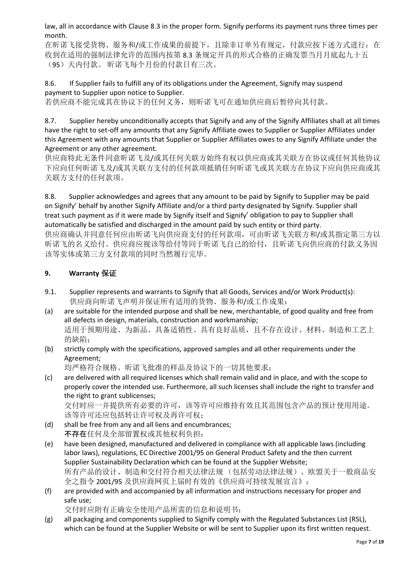law, all in accordance with Clause 8.3 in the proper form. Signify performs its payment runs three times per month.

在昕诺飞接受货物、服务和/或工作成果的前提下,且除非订单另有规定,付款应按下述方式进行: 在 收到在适用的强制法律允许的范围内按第 8.3 条规定开具的形式合格的正确发票当月月底起九十五 (95)天内付款。 昕诺飞每个月份的付款日有三次。

8.6. If Supplier fails to fulfill any of its obligations under the Agreement, Signify may suspend payment to Supplier upon notice to Supplier. 若供应商不能完成其在协议下的任何义务,则昕诺飞可在通知供应商后暂停向其付款。

8.7. Supplier hereby unconditionally accepts that Signify and any of the Signify Affiliates shall at all times have the right to set-off any amounts that any Signify Affiliate owes to Supplier or Supplier Affiliates under this Agreement with any amounts that Supplier or Supplier Affiliates owes to any Signify Affiliate under the Agreement or any other agreement.

供应商特此无条件同意昕诺飞及/或其任何关联方始终有权以供应商或其关联方在协议或任何其他协议 下应向任何昕诺飞及/或其关联方支付的任何款项抵销任何昕诺飞或其关联方在协议下应向供应商或其 关联方支付的任何款项。

8.8. Supplier acknowledges and agrees that any amount to be paid by Signify to Supplier may be paid on Signify' behalf by another Signify Affiliate and/or a third party designated by Signify. Supplier shall treat such payment as if it were made by Signify itself and Signify' obligation to pay to Supplier shall automatically be satisfied and discharged in the amount paid by such entity or third party. 供应商确认并同意任何应由昕诺飞向供应商支付的任何款项,可由昕诺飞关联方和/或其指定第三方以 昕诺飞的名义给付。供应商应视该等给付等同于昕诺飞自己的给付,且昕诺飞向供应商的付款义务因

#### **9. Warranty** 保证

- 9.1. Supplier represents and warrants to Signify that all Goods, Services and/or Work Product(s): 供应商向昕诺飞声明并保证所有适用的货物、服务和/或工作成果:
- (a) are suitable for the intended purpose and shall be new, merchantable, of good quality and free from all defects in design, materials, construction and workmanship; 适用于预期用途、为新品、具备适销性、具有良好品质,且不存在设计、材料、制造和工艺上 的缺陷;
- (b) strictly comply with the specifications, approved samples and all other requirements under the Agreement;

均严格符合规格、昕诺飞批准的样品及协议下的一切其他要求;

(c) are delivered with all required licenses which shall remain valid and in place, and with the scope to properly cover the intended use. Furthermore, all such licenses shall include the right to transfer and the right to grant sublicenses;

交付时应一并提供所有必要的许可,该等许可应维持有效且其范围包含产品的预计使用用途。 该等许可还应包括转让许可权及再许可权;

(d) shall be free from any and all liens and encumbrances; 不存在任何及全部留置权或其他权利负担;

该等实体或第三方支付款项的同时当然履行完毕。

- (e) have been designed, manufactured and delivered in compliance with all applicable laws (including labor laws), regulations, EC Directive 2001/95 on General Product Safety and the then current Supplier Sustainability Declaration which can be found at the Supplier Website; 所有产品的设计、制造和交付符合相关法律法规 (包括劳动法律法规)、欧盟关于一般商品安 全之指令 2001/95 及供应商网页上届时有效的《供应商可持续发展宣言》;
- (f) are provided with and accompanied by all information and instructions necessary for proper and safe use;

交付时应附有正确安全使用产品所需的信息和说明书;

(g) all packaging and components supplied to Signify comply with the Regulated Substances List (RSL), which can be found at the Supplier Website or will be sent to Supplier upon its first written request.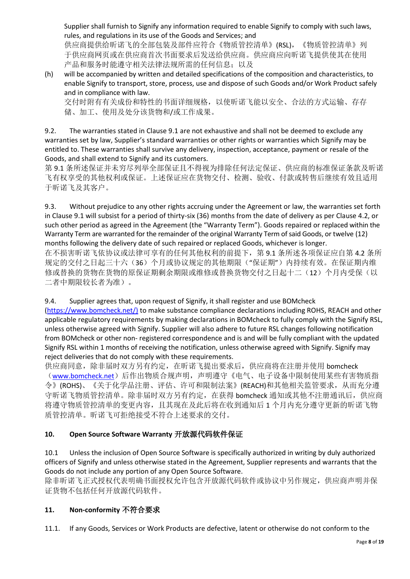Supplier shall furnish to Signify any information required to enable Signify to comply with such laws, rules, and regulations in its use of the Goods and Services; and

供应商提供给昕诺飞的全部包装及部件应符合《物质管控清单》(RSL),《物质管控清单》列 于供应商网页或在供应商首次书面要求后发送给供应商。供应商应向昕诺飞提供使其在使用 产品和服务时能遵守相关法律法规所需的任何信息;以及

(h) will be accompanied by written and detailed specifications of the composition and characteristics, to enable Signify to transport, store, process, use and dispose of such Goods and/or Work Product safely and in compliance with law.

交付时附有有关成份和特性的书面详细规格,以使昕诺飞能以安全、合法的方式运输、存存 储、加工、使用及处分该货物和/或工作成果。

9.2. The warranties stated in Clause 9.1 are not exhaustive and shall not be deemed to exclude any warranties set by law, Supplier's standard warranties or other rights or warranties which Signify may be entitled to. These warranties shall survive any delivery, inspection, acceptance, payment or resale of the Goods, and shall extend to Signify and its customers.

第 9.1 条所述保证并未穷尽列举全部保证且不得视为排除任何法定保证、供应商的标准保证条款及昕诺 飞有权享受的其他权利或保证。上述保证应在货物交付、检测、验收、付款或转售后继续有效且适用 于昕诺飞及其客户。

9.3. Without prejudice to any other rights accruing under the Agreement or law, the warranties set forth in Clause 9.1 will subsist for a period of thirty-six (36) months from the date of delivery as per Clause 4.2, or such other period as agreed in the Agreement (the "Warranty Term"). Goods repaired or replaced within the Warranty Term are warranted for the remainder of the original Warranty Term of said Goods, or twelve (12) months following the delivery date of such repaired or replaced Goods, whichever is longer.

在不损害昕诺飞依协议或法律可享有的任何其他权利的前提下,第 9.1 条所述各项保证应自第 4.2 条所 规定的交付之日起三十六(36)个月或协议规定的其他期限("保证期")内持续有效。在保证期内维 修或替换的货物在货物的原保证期剩余期限或维修或替换货物交付之日起十二(12)个月内受保(以 二者中期限较长者为准)。

9.4. Supplier agrees that, upon request of Signify, it shall register and use BOMcheck

[\(https://www.bomcheck.net/\)](https://www.bomcheck.net/) to make substance compliance declarations including ROHS, REACH and other applicable regulatory requirements by making declarations in BOMcheck to fully comply with the Signify RSL, unless otherwise agreed with Signify. Supplier will also adhere to future RSL changes following notification from BOMcheck or other non- registered correspondence and is and will be fully compliant with the updated Signify RSL within 1 months of receiving the notification, unless otherwise agreed with Signify. Signify may reject deliveries that do not comply with these requirements.

供应商同意,除非届时双方另有约定,在昕诺飞提出要求后,供应商将在注册并使用 bomcheck ([www.bomcheck.net](https://www.bomcheck.net/en))后作出物质合规声明,声明遵守《电气、电子设备中限制使用某些有害物质指 令》(ROHS)、《关于化学品注册、评估、许可和限制法案》(REACH)和其他相关监管要求,从而充分遵 守昕诺飞物质管控清单。除非届时双方另有约定,在获得 bomcheck 通知或其他不注册通讯后, 供应商 将遵守物质管控清单的变更内容,且其现在及此后将在收到通知后 1 个月内充分遵守更新的昕诺飞物 质管控清单。昕诺飞可拒绝接受不符合上述要求的交付。

## **10. Open Source Software Warranty** 开放源代码软件保证

10.1 Unless the inclusion of Open Source Software is specifically authorized in writing by duly authorized officers of Signify and unless otherwise stated in the Agreement, Supplier represents and warrants that the Goods do not include any portion of any Open Source Software.

除非昕诺飞正式授权代表明确书面授权允许包含开放源代码软件或协议中另作规定,供应商声明并保 证货物不包括任何开放源代码软件。

## **11. Non-conformity** 不符合要求

11.1. If any Goods, Services or Work Products are defective, latent or otherwise do not conform to the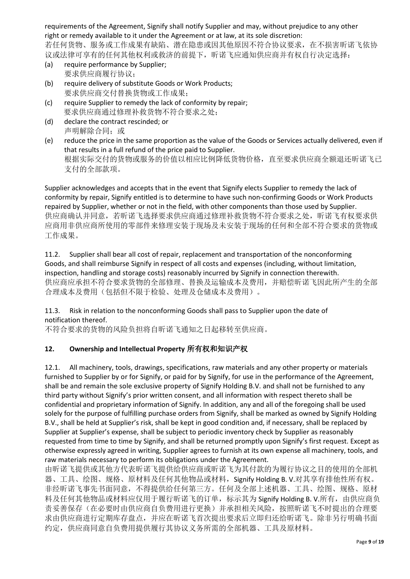requirements of the Agreement, Signify shall notify Supplier and may, without prejudice to any other right or remedy available to it under the Agreement or at law, at its sole discretion:

若任何货物、服务或工作成果有缺陷、潜在隐患或因其他原因不符合协议要求,在不损害昕诺飞依协 议或法律可享有的任何其他权利或救济的前提下,昕诺飞应通知供应商并有权自行决定选择:

- (a) require performance by Supplier; 要求供应商履行协议;
- (b) require delivery of substitute Goods or Work Products; 要求供应商交付替换货物或工作成果;
- (c) require Supplier to remedy the lack of conformity by repair; 要求供应商通过修理补救货物不符合要求之处;
- (d) declare the contract rescinded; or 声明解除合同;或
- (e) reduce the price in the same proportion as the value of the Goods or Services actually delivered, even if that results in a full refund of the price paid to Supplier. 根据实际交付的货物或服务的价值以相应比例降低货物价格,直至要求供应商全额退还昕诺飞已 支付的全部款项。

Supplier acknowledges and accepts that in the event that Signify elects Supplier to remedy the lack of conformity by repair, Signify entitled is to determine to have such non-confirming Goods or Work Products repaired by Supplier, whether or not in the field, with other components than those used by Supplier. 供应商确认并同意,若昕诺飞选择要求供应商通过修理补救货物不符合要求之处,昕诺飞有权要求供 应商用非供应商所使用的零部件来修理安装于现场及未安装于现场的任何和全部不符合要求的货物或 工作成果。

11.2. Supplier shall bear all cost of repair, replacement and transportation of the nonconforming Goods, and shall reimburse Signify in respect of all costs and expenses (including, without limitation, inspection, handling and storage costs) reasonably incurred by Signify in connection therewith. 供应商应承担不符合要求货物的全部修理、替换及运输成本及费用,并赔偿昕诺飞因此所产生的全部 合理成本及费用(包括但不限于检验、处理及仓储成本及费用)。

#### 11.3. Risk in relation to the nonconforming Goods shall pass to Supplier upon the date of notification thereof.

不符合要求的货物的风险负担将自昕诺飞通知之日起移转至供应商。

# **12. Ownership and Intellectual Property** 所有权和知识产权

12.1. All machinery, tools, drawings, specifications, raw materials and any other property or materials furnished to Supplier by or for Signify, or paid for by Signify, for use in the performance of the Agreement, shall be and remain the sole exclusive property of Signify Holding B.V. and shall not be furnished to any third party without Signify's prior written consent, and all information with respect thereto shall be confidential and proprietary information of Signify. In addition, any and all of the foregoing shall be used solely for the purpose of fulfilling purchase orders from Signify, shall be marked as owned by Signify Holding B.V., shall be held at Supplier's risk, shall be kept in good condition and, if necessary, shall be replaced by Supplier at Supplier's expense, shall be subject to periodic inventory check by Supplier as reasonably requested from time to time by Signify, and shall be returned promptly upon Signify's first request. Except as otherwise expressly agreed in writing, Supplier agrees to furnish at its own expense all machinery, tools, and raw materials necessary to perform its obligations under the Agreement.

由昕诺飞提供或其他方代表研诺飞机的节节的人的方法的为履行协议之目的使用的全部机 器、工具、绘图、规格、原材料及任何其他物品或材料, Signify Holding B. V.对其享有排他性所有权。 非经昕诺飞事先书面同意,不得提供给任何第三方。任何及全部上述机器、工具、绘图、规格、原材 料及任何其他物品或材料应仅用于履行昕诺飞的订单,标示其为 Signify Holding B. V.所有,由供应商负 责妥善保存(在必要时由供应商自负费用进行更换)并承担相关风险,按照昕诺飞不时提出的合理要 求由供应商进行定期库存盘点,并应在昕诺飞首次提出要求后立即归还给昕诺飞。除非另行明确书面 约定,供应商同意自负费用提供履行其协议义务所需的全部机器、工具及原材料。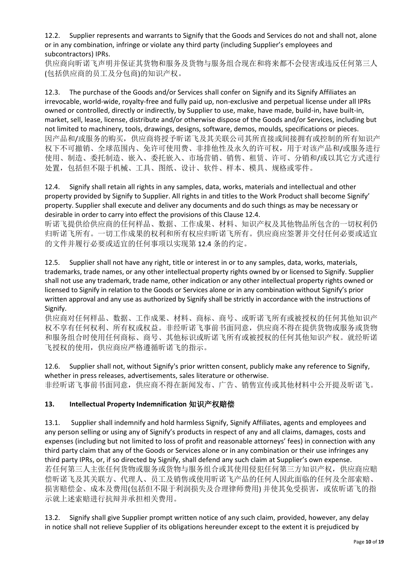12.2. Supplier represents and warrants to Signify that the Goods and Services do not and shall not, alone or in any combination, infringe or violate any third party (including Supplier's employees and subcontractors) IPRs.

供应商向昕诺飞声明并保证其货物和服务及货物与服务组合现在和将来都不会侵害或违反任何第三人 (包括供应商的员工及分包商)的知识产权。

12.3. The purchase of the Goods and/or Services shall confer on Signify and its Signify Affiliates an irrevocable, world-wide, royalty-free and fully paid up, non-exclusive and perpetual license under all IPRs owned or controlled, directly or indirectly, by Supplier to use, make, have made, build-in, have built-in, market, sell, lease, license, distribute and/or otherwise dispose of the Goods and/or Services, including but not limited to machinery, tools, drawings, designs, software, demos, moulds, specifications or pieces. 因产品和/或服务的购买,供应商将授予昕诺飞及其关联公司其所直接或间接拥有或控制的所有知识产 权下不可撤销、全球范围内、免许可使用费、非排他性及永久的许可权,用于对该产品和/或服务进行 使用、制造、委托制造、嵌入、委托嵌入、市场营销、销售、租赁、许可、分销和/或以其它方式进行 处置,包括但不限于机械、工具、图纸、设计、软件、样本、模具、规格或零件。

12.4. Signify shall retain all rights in any samples, data, works, materials and intellectual and other property provided by Signify to Supplier. All rights in and titles to the Work Product shall become Signify' property. Supplier shall execute and deliver any documents and do such things as may be necessary or desirable in order to carry into effect the provisions of this Clause 12.4.

昕诺飞提供给供应商的任何样品、数据、工作成果、材料、知识产权及其他物品所包含的一切权利仍 归昕诺飞所有。一切工作成果的权利和所有权应归昕诺飞所有。供应商应签署并交付任何必要或适宜 的文件并履行必要或适宜的任何事项以实现第 12.4 条的约定。

12.5. Supplier shall not have any right, title or interest in or to any samples, data, works, materials, trademarks, trade names, or any other intellectual property rights owned by or licensed to Signify. Supplier shall not use any trademark, trade name, other indication or any other intellectual property rights owned or licensed to Signify in relation to the Goods or Services alone or in any combination without Signify's prior written approval and any use as authorized by Signify shall be strictly in accordance with the instructions of Signify.

供应商对任何样品、数据、工作成果、材料、商标、商号、或昕诺飞所有或被授权的任何其他知识产 权不享有任何权利、所有权或权益。非经昕诺飞事前书面同意,供应商不得在提供货物或服务或货物 和服务组合时使用任何商标、商号、其他标识或昕诺飞所有或被授权的任何其他知识产权。就经昕诺 飞授权的使用,供应商应严格遵循昕诺飞的指示。

12.6. Supplier shall not, without Signify's prior written consent, publicly make any reference to Signify, whether in press releases, advertisements, sales literature or otherwise. 非经昕诺飞事前书面同意,供应商不得在新闻发布、广告、销售宣传或其他材料中公开提及昕诺飞。

## **13. Intellectual Property Indemnification** 知识产权赔偿

13.1. Supplier shall indemnify and hold harmless Signify, Signify Affiliates, agents and employees and any person selling or using any of Signify's products in respect of any and all claims, damages, costs and expenses (including but not limited to loss of profit and reasonable attorneys' fees) in connection with any third party claim that any of the Goods or Services alone or in any combination or their use infringes any third party IPRs, or, if so directed by Signify, shall defend any such claim at Supplier's own expense. 若任何第三人主张任何货物或服务或货物与服务组合或其使用侵犯任何第三方知识产权,供应商应赔 偿昕诺飞及其关联方、代理人、员工及销售或使用昕诺飞产品的任何人因此面临的任何及全部索赔、 损害赔偿金、成本及费用(包括但不限于利润损失及合理律师费用) 并使其免受损害, 或依昕诺飞的指 示就上述索赔进行抗辩并承担相关费用。

13.2. Signify shall give Supplier prompt written notice of any such claim, provided, however, any delay in notice shall not relieve Supplier of its obligations hereunder except to the extent it is prejudiced by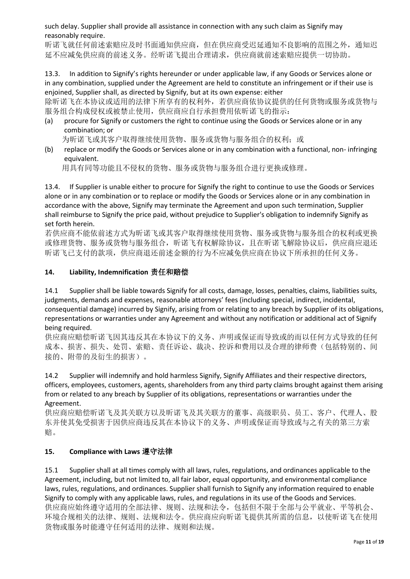such delay. Supplier shall provide all assistance in connection with any such claim as Signify may reasonably require.

昕诺飞就任何前述索赔应及时书面通知供应商,但在供应商受迟延通知不良影响的范围之外,通知迟 延不应减免供应商的前述义务。经昕诺飞提出合理请求,供应商就前述索赔应提供一切协助。

13.3. In addition to Signify's rights hereunder or under applicable law, if any Goods or Services alone or in any combination, supplied under the Agreement are held to constitute an infringement or if their use is enjoined, Supplier shall, as directed by Signify, but at its own expense: either

除昕诺飞在本协议或适用的法律下所享有的权利外,若供应商依协议提供的任何货物或服务或货物与 服务组合构成侵权或被禁止使用,供应商应自行承担费用依昕诺飞的指示:

(a) procure for Signify or customers the right to continue using the Goods or Services alone or in any combination; or

为昕诺飞或其客户取得继续使用货物、服务或货物与服务组合的权利;或

(b) replace or modify the Goods or Services alone or in any combination with a functional, non- infringing equivalent.

用具有同等功能且不侵权的货物、服务或货物与服务组合进行更换或修理。

13.4. If Supplier is unable either to procure for Signify the right to continue to use the Goods or Services alone or in any combination or to replace or modify the Goods or Services alone or in any combination in accordance with the above, Signify may terminate the Agreement and upon such termination, Supplier shall reimburse to Signify the price paid, without prejudice to Supplier's obligation to indemnify Signify as set forth herein.

若供应商不能依前述方式为昕诺飞或其客户取得继续使用货物、服务或货物与服务组合的权利或更换 或修理货物、服务或货物与服务组合,昕诺飞有权解除协议,且在昕诺飞解除协议后,供应商应退还 昕诺飞已支付的款项,供应商退还前述金额的行为不应减免供应商在协议下所承担的任何义务。

#### **14. Liability, Indemnification** 责任和赔偿

14.1 Supplier shall be liable towards Signify for all costs, damage, losses, penalties, claims, liabilities suits, judgments, demands and expenses, reasonable attorneys' fees (including special, indirect, incidental, consequential damage) incurred by Signify, arising from or relating to any breach by Supplier of its obligations, representations or warranties under any Agreement and without any notification or additional act of Signify being required.

供应商应赔偿昕诺飞因其违反其在本协议下的义务、声明或保证而导致或的而以任何方式导致的任何 成本、损害、损失、处罚、索赔、责任诉讼、裁决、控诉和费用以及合理的律师费(包括特别的、间 接的、附带的及衍生的损害)。

14.2 Supplier will indemnify and hold harmless Signify, Signify Affiliates and their respective directors, officers, employees, customers, agents, shareholders from any third party claims brought against them arising from or related to any breach by Supplier of its obligations, representations or warranties under the Agreement.

供应商应赔偿昕诺飞及其关联方以及昕诺飞及其关联方的董事、高级职员、员工、客户、代理人、股 东并使其免受损害于因供应商违反其在本协议下的义务、声明或保证而导致或与之有关的第三方索 赔。

## **15. Compliance with Laws** 遵守法律

15.1 Supplier shall at all times comply with all laws, rules, regulations, and ordinances applicable to the Agreement, including, but not limited to, all fair labor, equal opportunity, and environmental compliance laws, rules, regulations, and ordinances. Supplier shall furnish to Signify any information required to enable Signify to comply with any applicable laws, rules, and regulations in its use of the Goods and Services. 供应商应始终遵守适用的全部法律、规则、法规和法令,包括但不限于全部与公平就业、平等机会、 环境合规相关的法律、规则、法规和法令。供应商应向昕诺飞提供其所需的信息,以使昕诺飞在使用 货物或服务时能遵守任何适用的法律、规则和法规。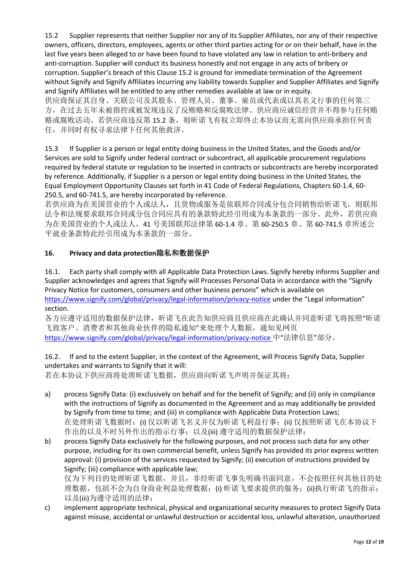15.2 Supplier represents that neither Supplier nor any of its Supplier Affiliates, nor any of their respective owners, officers, directors, employees, agents or other third parties acting for or on their behalf, have in the last five years been alleged to or have been found to have violated any law in relation to anti-bribery and anti-corruption. Supplier will conduct its business honestly and not engage in any acts of bribery or corruption. Supplier's breach of this Clause 15.2 is ground for immediate termination of the Agreement without Signify and Signify Affiliates incurring any liability towards Supplier and Supplier Affiliates and Signify and Signify Affiliates will be entitled to any other remedies available at law or in equity. 供应商保证其自身、关联公司及其股东、管理人员、董事、雇员或代表或以其名义行事的任何第三 方,在过去五年未被指控或被发现违反了反贿赂和反腐败法律。供应商应诚信经营并不得参与任何贿 赂或腐败活动。若供应商违反第 15.2 条,则昕诺飞有权立即终止本协议而无需向供应商承担任何责 任,并同时有权寻求法律下任何其他救济。

15.3 If Supplier is a person or legal entity doing business in the United States, and the Goods and/or Services are sold to Signify under federal contract or subcontract, all applicable procurement regulations required by federal statute or regulation to be inserted in contracts or subcontracts are hereby incorporated by reference. Additionally, if Supplier is a person or legal entity doing business in the United States, the Equal Employment Opportunity Clauses set forth in 41 Code of Federal Regulations, Chapters 60-1.4, 60- 250.5, and 60-741.5, are hereby incorporated by reference.

若供应商为在美国营业的个人或法人,且货物或服务是依联邦合同或分包合同销售给昕诺飞,则联邦 法令和法规要求联邦合同或分包合同应具有的条款特此经引用成为本条款的一部分。此外,若供应商 为在美国营业的个人或法人,41 号美国联邦法律第 60-1.4 章、第 60-250.5 章、第 60-741.5 章所述公 平就业条款特此经引用成为本条款的一部分。

## **16. Privacy and data protection**隐私和数据保护

16.1. Each party shall comply with all Applicable Data Protection Laws. Signify hereby informs Supplier and Supplier acknowledges and agrees that Signify will Processes Personal Data in accordance with the "Signify Privacy Notice for customers, consumers and other business persons" which is available on <https://www.signify.com/global/privacy/legal-information/privacy-notice> under the "Legal information" section.

各方应遵守适用的数据保护法律,昕诺飞在此告知供应商且供应商在此确认并同意昕诺飞将按照"昕诺 飞致客户、消费者和其他商业伙伴的隐私通知"来处理个人数据,通知见网页 <https://www.signify.com/global/privacy/legal-information/privacy-notice> 中"法律信息"部分。

#### 16.2. If and to the extent Supplier, in the context of the Agreement, will Process Signify Data, Supplier undertakes and warrants to Signify that it will:

若在本协议下供应商将处理昕诺飞数据,供应商向昕诺飞声明并保证其将:

- a) process Signify Data: (i) exclusively on behalf and for the benefit of Signify; and (ii) only in compliance with the instructions of Signify as documented in the Agreement and as may additionally be provided by Signify from time to time; and (iii) in compliance with Applicable Data Protection Laws; 在处理昕诺飞数据时: (i) 仅以昕诺飞名义并仅为昕诺飞利益行事; (ii) 仅按照昕诺飞在本协议下 作出的以及不时另外作出的指示行事;以及(iii) 遵守适用的数据保护法律;
- b) process Signify Data exclusively for the following purposes, and not process such data for any other purpose, including for its own commercial benefit, unless Signify has provided its prior express written approval: (i) provision of the services requested by Signify; (ii) execution of instructions provided by Signify; (iii) compliance with applicable law;

仅为下列目的处理昕诺飞数据,并且,非经昕诺飞事先明确书面同意,不会按照任何其他目的处 理数据,包括不会为自身商业利益处理数据:(i) 昕诺飞要求提供的服务;(ii)执行昕诺飞的指示; 以及(iii)为遵守适用的法律;

c) implement appropriate technical, physical and organizational security measures to protect Signify Data against misuse, accidental or unlawful destruction or accidental loss, unlawful alteration, unauthorized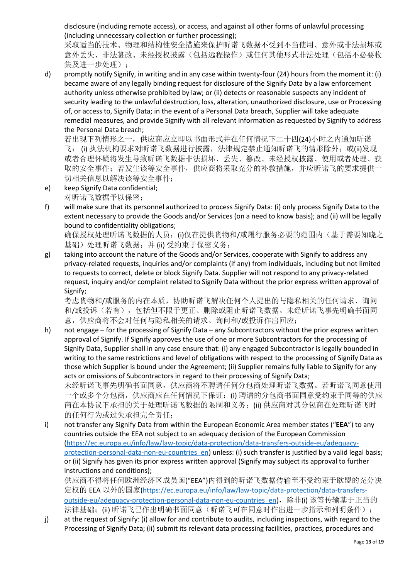disclosure (including remote access), or access, and against all other forms of unlawful processing (including unnecessary collection or further processing);

采取适当的技术、物理和结构性安全措施来保护昕诺飞数据不受到不当使用、意外或非法损坏或 意外丢失、非法篡改、未经授权披露(包括远程操作)或任何其他形式非法处理(包括不必要收 集及进一步处理);

d) promptly notify Signify, in writing and in any case within twenty-four (24) hours from the moment it: (i) became aware of any legally binding request for disclosure of the Signify Data by a law enforcement authority unless otherwise prohibited by law; or (ii) detects or reasonable suspects any incident of security leading to the unlawful destruction, loss, alteration, unauthorized disclosure, use or Processing of, or access to, Signify Data; in the event of a Personal Data breach, Supplier will take adequate remedial measures, and provide Signify with all relevant information as requested by Signify to address the Personal Data breach;

若出现下列情形之一,供应商应立即以书面形式并在任何情况下二十四(24)小时之内通知昕诺 飞: ⑴ 执法机构要求对昕诺飞数据进行披露,法律规定禁止通知昕诺飞的情形除外;或(ii)发现 或者合理怀疑将发生导致昕诺飞数据非法损坏、丢失、篡改、未经授权披露、使用或者处理、获 取的安全事件;若发生该等安全事件,供应商将采取充分的补救措施,并应昕诺飞的要求提供一 切相关信息以解决该等安全事件;

- e) keep Signify Data confidential; 对昕诺飞数据予以保密;
- f) will make sure that its personnel authorized to process Signify Data: (i) only process Signify Data to the extent necessary to provide the Goods and/or Services (on a need to know basis); and (ii) will be legally bound to confidentiality obligations;

确保授权处理昕诺飞数据的人员: (i)仅在提供货物和/或履行服务必要的范围内(基于需要知晓之 基础)处理昕诺飞数据;并(ii) 受约束于保密义务;

g) taking into account the nature of the Goods and/or Services, cooperate with Signify to address any privacy-related requests, inquiries and/or complaints (if any) from individuals, including but not limited to requests to correct, delete or block Signify Data. Supplier will not respond to any privacy-related request, inquiry and/or complaint related to Signify Data without the prior express written approval of Signify;

考虑货物和/或服务的内在本质,协助昕诺飞解决任何个人提出的与隐私相关的任何请求、询问 和/或投诉(若有),包括但不限于更正、删除或阻止昕诺飞数据。未经昕诺飞事先明确书面同 意,供应商将不会对任何与隐私相关的请求、询问和/或投诉作出回应;

h) not engage – for the processing of Signify Data – any Subcontractors without the prior express written approval of Signify. If Signify approves the use of one or more Subcontractors for the processing of Signify Data, Supplier shall in any case ensure that: (i) any engaged Subcontractor is legally bounded in writing to the same restrictions and level of obligations with respect to the processing of Signify Data as those which Supplier is bound under the Agreement; (ii) Supplier remains fully liable to Signify for any acts or omissions of Subcontractors in regard to their processing of Signify Data; 未经昕诺飞事先明确书面同意,供应商将不聘请任何分包商处理昕诺飞数据。若昕诺飞同意使用 一个或多个分包商,供应商应在任何情况下保证:(i) 聘请的分包商书面同意受约束于同等的供应

商在本协议下承担的关于处理昕诺飞数据的限制和义务;(ii) 供应商对其分包商在处理听诺飞时 的任何行为或过失承担完全责任;

i) not transfer any Signify Data from within the European Economic Area member states ("**EEA**") to any countries outside the EEA not subject to an adequacy decision of the European Commission [\(https://ec.europa.eu/info/law/law-topic/data-protection/data-transfers-outside-eu/adequacy](https://ec.europa.eu/info/law/law-topic/data-protection/data-transfers-outside-eu/adequacy-protection-personal-data-non-eu-countries_en)protection-personal-data-non-eu-countries en) unless: (i) such transfer is justified by a valid legal basis; or (ii) Signify has given its prior express written approval (Signify may subject its approval to further instructions and conditions);

供应商不得将任何欧洲经济区成员国("EEA")内得到的昕诺飞数据传输至不受约束于欧盟的充分决 定权的 EEA 以外的国家[\(https://ec.europa.eu/info/law/law-topic/data-protection/data-transfers](https://ec.europa.eu/info/law/law-topic/data-protection/data-transfers-outside-eu/adequacy-protection-personal-data-non-eu-countries_en)[outside-eu/adequacy-protection-personal-data-non-eu-countries\\_en\)](https://ec.europa.eu/info/law/law-topic/data-protection/data-transfers-outside-eu/adequacy-protection-personal-data-non-eu-countries_en),除非(i) 该等传输基于正当的 法律基础;(ii) 昕诺飞已作出明确书面同意(昕诺飞可在同意时作出进一步指示和列明条件);

j) at the request of Signify: (i) allow for and contribute to audits, including inspections, with regard to the Processing of Signify Data; (ii) submit its relevant data processing facilities, practices, procedures and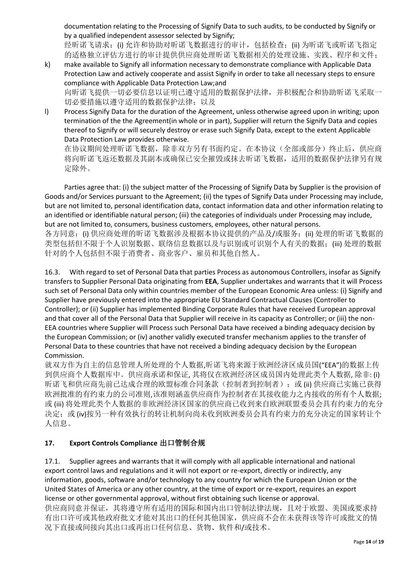documentation relating to the Processing of Signify Data to such audits, to be conducted by Signify or by a qualified independent assessor selected by Signify;

经昕诺飞请求: (i) 允许和协助对昕诺飞数据进行的审计, 包括检查; (ii) 为昕诺飞或昕诺飞指定 的适格独立评估方进行的审计提供供应商处理昕诺飞数据相关的处理设施、实践、程序和文件;

- k) make available to Signify all information necessary to demonstrate compliance with Applicable Data Protection Law and actively cooperate and assist Signify in order to take all necessary steps to ensure compliance with Applicable Data Protection Law;and 向昕诺飞提供一切必要信息以证明已遵守适用的数据保护法律,并积极配合和协助昕诺飞采取一 切必要措施以遵守适用的数据保护法律;以及
- l) Process Signify Data for the duration of the Agreement, unless otherwise agreed upon in writing; upon termination of the the Agreement(in whole or in part), Supplier will return the Signify Data and copies thereof to Signify or will securely destroy or erase such Signify Data, except to the extent Applicable Data Protection Law provides otherwise.

在协议期间处理昕诺飞数据,除非双方另有书面约定。在本协议(全部或部分)终止后,供应商 将向昕诺飞返还数据及其副本或确保已安全摧毁或抹去昕诺飞数据,适用的数据保护法律另有规 定除外。

Parties agree that: (i) the subject matter of the Processing of Signify Data by Supplier is the provision of Goods and/or Services pursuant to the Agreement; (ii) the types of Signify Data under Processing may include, but are not limited to, personal identification data, contact information data and other information relating to an identified or identifiable natural person; (iii) the categories of individuals under Processing may include, but are not limited to, consumers, business customers, employees, other natural persons.

各方同意: (i) 供应商处理的昕诺飞数据涉及根据本协议提供的产品及/或服务; (ii) 处理的昕诺飞数据的 类型包括但不限于个人识别数据、联络信息数据以及与识别或可识别个人有关的数据;(iii) 处理的数据 针对的个人包括但不限于消费者、商业客户、雇员和其他自然人。

16.3. With regard to set of Personal Data that parties Process as autonomous Controllers, insofar as Signify transfers to Supplier Personal Data originating from **EEA**, Supplier undertakes and warrants that it will Process such set of Personal Data only within countries member of the European Economic Area unless: (i) Signify and Supplier have previously entered into the appropriate EU Standard Contractual Clauses (Controller to Controller); or (ii) Supplier has implemented Binding Corporate Rules that have received European approval and that cover all of the Personal Data that Supplier will receive in its capacity as Controller; or (iii) the non-EEA countries where Supplier will Process such Personal Data have received a binding adequacy decision by the European Commission; or (iv) another validly executed transfer mechanism applies to the transfer of Personal Data to these countries that have not received a binding adequacy decision by the European Commission.

就双方作为自主的信息管理人所处理的个人数据,昕诺飞将来源于欧洲经济区成员国("EEA")的数据上传 到供应商个人数据库中。供应商承诺和保证, 其将仅在欧洲经济区成员国内处理此类个人数据, 除非: (i) 昕诺飞和供应商先前已达成合理的欧盟标准合同条款(控制者到控制者);或 (ii) 供应商已实施已获得 欧洲批准的有约束力的公司准则,该准则涵盖供应商作为控制者在其接收能力之内接收的所有个人数据; 或 (iii) 将处理此类个人数据的非欧洲经济区国家的供应商已收到来自欧洲联盟委员会具有约束力的充分 决定; 或 (iv)按另一种有效执行的转让机制向尚未收到欧洲委员会具有约束力的充分决定的国家转让个 人信息。

# **17. Export Controls Compliance** 出口管制合规

17.1. Supplier agrees and warrants that it will comply with all applicable international and national export control laws and regulations and it will not export or re-export, directly or indirectly, any information, goods, software and/or technology to any country for which the European Union or the United States of America or any other country, at the time of export or re-export, requires an export license or other governmental approval, without first obtaining such license or approval. 供应商同意并保证,其将遵守所有适用的国际和国内出口管制法律法规,且对于欧盟、美国或要求持 有出口许可或其他政府批文才能对其出口的任何其他国家,供应商不会在未获得该等许可或批文的情 况下直接或间接向其出口或再出口任何信息、货物、软件和/或技术。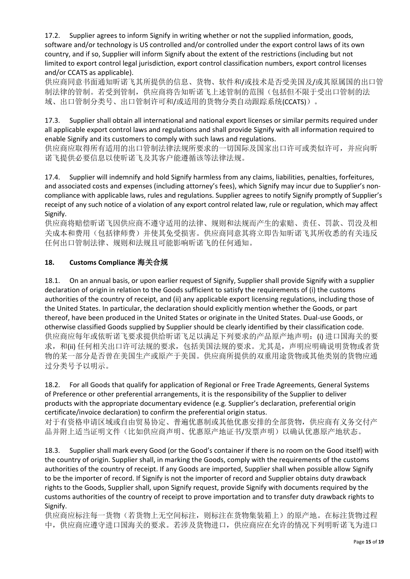17.2. Supplier agrees to inform Signify in writing whether or not the supplied information, goods, software and/or technology is US controlled and/or controlled under the export control laws of its own country, and if so, Supplier will inform Signify about the extent of the restrictions (including but not limited to export control legal jurisdiction, export control classification numbers, export control licenses and/or CCATS as applicable).

供应商同意书面通知昕诺飞其所提供的信息、货物、软件和/或技术是否受美国及/或其原属国的出口管 制法律的管制。若受到管制,供应商将告知昕诺飞上述管制的范围(包括但不限于受出口管制的法 域、出口管制分类号、出口管制许可和/或适用的货物分类自动跟踪系统(CCATS))。

17.3. Supplier shall obtain all international and national export licenses or similar permits required under all applicable export control laws and regulations and shall provide Signify with all information required to enable Signify and its customers to comply with such laws and regulations.

供应商应取得所有适用的出口管制法律法规所要求的一切国际及国家出口许可或类似许可,并应向昕 诺飞提供必要信息以使昕诺飞及其客户能遵循该等法律法规。

17.4. Supplier will indemnify and hold Signify harmless from any claims, liabilities, penalties, forfeitures, and associated costs and expenses (including attorney's fees), which Signify may incur due to Supplier's noncompliance with applicable laws, rules and regulations. Supplier agrees to notify Signify promptly of Supplier's receipt of any such notice of a violation of any export control related law, rule or regulation, which may affect Signify.

供应商将赔偿昕诺飞因供应商不遵守适用的法律、规则和法规而产生的索赔、责任、罚款、罚没及相 关成本和费用(包括律师费)并使其免受损害。供应商同意其将立即告知昕诺飞其所收悉的有关违反 任何出口管制法律、规则和法规且可能影响昕诺飞的任何通知。

## **18. Customs Compliance** 海关合规

18.1. On an annual basis, or upon earlier request of Signify, Supplier shall provide Signify with a supplier declaration of origin in relation to the Goods sufficient to satisfy the requirements of (i) the customs authorities of the country of receipt, and (ii) any applicable export licensing regulations, including those of the United States. In particular, the declaration should explicitly mention whether the Goods, or part thereof, have been produced in the United States or originate in the United States. Dual-use Goods, or otherwise classified Goods supplied by Supplier should be clearly identified by their classification code. 供应商应每年或依昕诺飞要求提供给昕诺飞足以满足下列要求的产品原产地声明: (i) 进口国海关的要 求, 和(ii) 任何相关出口许可法规的要求, 包括美国法规的要求。尤其是, 声明应明确说明货物或者货 物的某一部分是否曾在美国生产或原产于美国。供应商所提供的双重用途货物或其他类别的货物应通 过分类号予以明示。

#### 18.2. For all Goods that qualify for application of Regional or Free Trade Agreements, General Systems of Preference or other preferential arrangements, it is the responsibility of the Supplier to deliver products with the appropriate documentary evidence (e.g. Supplier's declaration, preferential origin certificate/invoice declaration) to confirm the preferential origin status.

对于有资格申请区域或自由贸易协定、普遍优惠制或其他优惠安排的全部货物,供应商有义务交付产 品并附上适当证明文件(比如供应商声明、优惠原产地证书/发票声明)以确认优惠原产地状态。

18.3. Supplier shall mark every Good (or the Good's container if there is no room on the Good itself) with the country of origin. Supplier shall, in marking the Goods, comply with the requirements of the customs authorities of the country of receipt. If any Goods are imported, Supplier shall when possible allow Signify to be the importer of record. If Signify is not the importer of record and Supplier obtains duty drawback rights to the Goods, Supplier shall, upon Signify request, provide Signify with documents required by the customs authorities of the country of receipt to prove importation and to transfer duty drawback rights to Signify.

供应商应标注每一货物(若货物上无空间标注,则标注在货物集装箱上)的原产地。在标注货物过程 中,供应商应遵守进口国海关的要求。若涉及货物进口,供应商应在允许的情况下列明昕诺飞为进口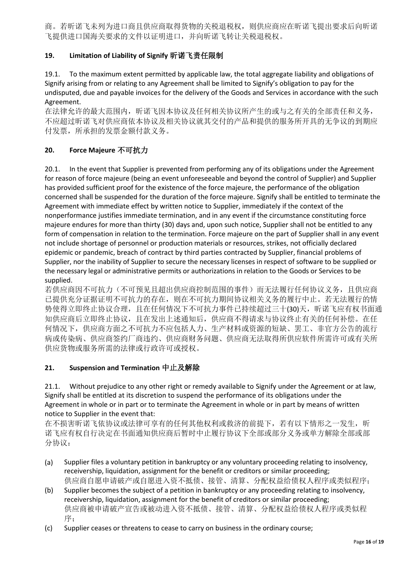商。若昕诺飞未列为进口商且供应商取得货物的关税退税权,则供应商应在昕诺飞提出要求后向昕诺 飞提供进口国海关要求的文件以证明进口,并向昕诺飞转让关税退税权。

## **19. Limitation of Liability of Signify** 昕诺飞责任限制

19.1. To the maximum extent permitted by applicable law, the total aggregate liability and obligations of Signify arising from or relating to any Agreement shall be limited to Signify's obligation to pay for the undisputed, due and payable invoices for the delivery of the Goods and Services in accordance with the such Agreement.

在法律允许的最大范围内, 昕诺飞因本协议及任何相关协议所产生的或与之有关的全部责任和义务, 不应超过昕诺飞对供应商依本协议及相关协议就其交付的产品和提供的服务所开具的无争议的到期应 付发票,所承担的发票金额付款义务。

#### **20. Force Majeure** 不可抗力

20.1. In the event that Supplier is prevented from performing any of its obligations under the Agreement for reason of force majeure (being an event unforeseeable and beyond the control of Supplier) and Supplier has provided sufficient proof for the existence of the force majeure, the performance of the obligation concerned shall be suspended for the duration of the force majeure. Signify shall be entitled to terminate the Agreement with immediate effect by written notice to Supplier, immediately if the context of the nonperformance justifies immediate termination, and in any event if the circumstance constituting force majeure endures for more than thirty (30) days and, upon such notice, Supplier shall not be entitled to any form of compensation in relation to the termination. Force majeure on the part of Supplier shall in any event not include shortage of personnel or production materials or resources, strikes, not officially declared epidemic or pandemic, breach of contract by third parties contracted by Supplier, financial problems of Supplier, nor the inability of Supplier to secure the necessary licenses in respect of software to be supplied or the necessary legal or administrative permits or authorizations in relation to the Goods or Services to be supplied.

若供应商因不可抗力(不可预见且超出供应商控制范围的事件)而无法履行任何协议义务,且供应商 已提供充分证据证明不可抗力的存在,则在不可抗力期间协议相关义务的履行中止。若无法履行的情 势使得立即终止协议合理,且在任何情况下不可抗力事件已持续超过三十(30)天,昕诺飞应有权书面通 知供应商后立即终止协议,且在发出上述通知后,供应商不得请求与协议终止有关的任何补偿。在任 何情况下,供应商方面之不可抗力不应包括人力、生产材料或资源的短缺、罢工、非官方公告的流行 病或传染病、供应商签约厂商违约、供应商财务问题、供应商无法取得所供应软件所需许可或有关所 供应货物或服务所需的法律或行政许可或授权。

#### **21. Suspension and Termination** 中止及解除

21.1. Without prejudice to any other right or remedy available to Signify under the Agreement or at law, Signify shall be entitled at its discretion to suspend the performance of its obligations under the Agreement in whole or in part or to terminate the Agreement in whole or in part by means of written notice to Supplier in the event that:

在不损害昕诺飞依协议或法律可享有的任何其他权利或救济的前提下,若有以下情形之一发生,昕 诺飞应有权自行决定在书面通知供应商后暂时中止履行协议下全部或部分义务或单方解除全部或部 分协议:

- (a) Supplier files a voluntary petition in bankruptcy or any voluntary proceeding relating to insolvency, receivership, liquidation, assignment for the benefit or creditors or similar proceeding; 供应商自愿申请破产或自愿进入资不抵债、接管、清算、分配权益给债权人程序或类似程序;
- (b) Supplier becomes the subject of a petition in bankruptcy or any proceeding relating to insolvency, receivership, liquidation, assignment for the benefit of creditors or similar proceeding; 供应商被申请破产宣告或被动进入资不抵债、接管、清算、分配权益给债权人程序或类似程 序;
- (c) Supplier ceases or threatens to cease to carry on business in the ordinary course;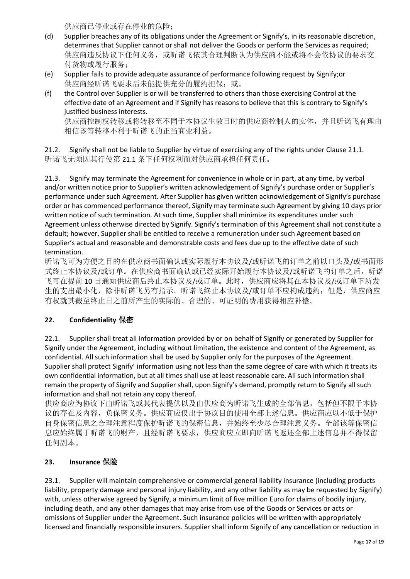供应商已停业或存在停业的危险;

- (d) Supplier breaches any of its obligations under the Agreement or Signify's, in its reasonable discretion, determines that Supplier cannot or shall not deliver the Goods or perform the Services as required; 供应商违反协议下任何义务,或昕诺飞依其合理判断认为供应商不能或将不会依协议的要求交 付货物或履行服务;
- (e) Supplier fails to provide adequate assurance of performance following request by Signify;or 供应商经昕诺飞要求后未能提供充分的履约担保;或。
- (f) the Control over Supplier is or will be transferred to others than those exercising Control at the effective date of an Agreement and if Signify has reasons to believe that this is contrary to Signify's justified business interests.

供应商控制权转移或将转移至不同于本协议生效日时的供应商控制人的实体,并且昕诺飞有理由 相信该等转移不利于昕诺飞的正当商业利益。

21.2. Signify shall not be liable to Supplier by virtue of exercising any of the rights under Clause 21.1. 昕诺飞无须因其行使第 21.1 条下任何权利而对供应商承担任何责任。

21.3. Signify may terminate the Agreement for convenience in whole or in part, at any time, by verbal and/or written notice prior to Supplier's written acknowledgement of Signify's purchase order or Supplier's performance under such Agreement. After Supplier has given written acknowledgement of Signify's purchase order or has commenced performance thereof, Signify may terminate such Agreement by giving 10 days prior written notice of such termination. At such time, Supplier shall minimize its expenditures under such Agreement unless otherwise directed by Signify. Signify's termination of this Agreement shall not constitute a default; however, Supplier shall be entitled to receive a remuneration under such Agreement based on Supplier's actual and reasonable and demonstrable costs and fees due up to the effective date of such termination.

昕诺飞可为方便之目的在供应商书面确认或实际履行本协议及/或昕诺飞的订单之前以口头及/或书面形 式终止本协议及/或订单。在供应商书面确认或已经实际开始履行本协议及/或昕诺飞的订单之后, 昕诺 飞可在提前 10 日通知供应商后终止本协议及/或订单。此时,供应商应将其在本协议及/或订单下所发 生的支出最小化,除非昕诺飞另有指示。昕诺飞终止本协议及/或订单不应构成违约;但是,供应商应 有权就其截至终止日之前所产生的实际的、合理的、可证明的费用获得相应补偿。

## **22. Confidentiality** 保密

22.1. Supplier shall treat all information provided by or on behalf of Signify or generated by Supplier for Signify under the Agreement, including without limitation, the existence and content of the Agreement, as confidential. All such information shall be used by Supplier only for the purposes of the Agreement. Supplier shall protect Signify' information using not less than the same degree of care with which it treats its own confidential information, but at all times shall use at least reasonable care. All such information shall remain the property of Signify and Supplier shall, upon Signify's demand, promptly return to Signify all such information and shall not retain any copy thereof.

供应商应为协议下由昕诺飞或其代表提供以及由供应商为昕诺飞生成的全部信息,包括但不限于本协 议的存在及内容,负保密义务。供应商应仅出于协议目的使用全部上述信息。供应商应以不低于保护 自身保密信息之合理注意程度保护昕诺飞的保密信息,并始终至少尽合理注意义务。全部该等保密信 息应始终属于昕诺飞的财产,且经昕诺飞要求,供应商应立即向昕诺飞返还全部上述信息并不得保留 任何副本。

#### **23. Insurance** 保险

23.1. Supplier will maintain comprehensive or commercial general liability insurance (including products liability, property damage and personal injury liability, and any other liability as may be requested by Signify) with, unless otherwise agreed by Signify, a minimum limit of five million Euro for claims of bodily injury, including death, and any other damages that may arise from use of the Goods or Services or acts or omissions of Supplier under the Agreement. Such insurance policies will be written with appropriately licensed and financially responsible insurers. Supplier shall inform Signify of any cancellation or reduction in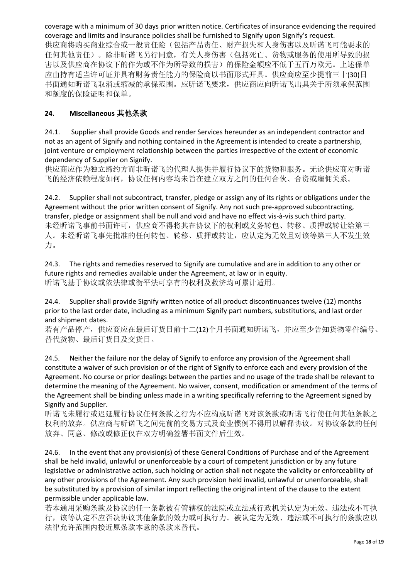coverage with a minimum of 30 days prior written notice. Certificates of insurance evidencing the required coverage and limits and insurance policies shall be furnished to Signify upon Signify's request.

供应商将购买商业综合或一般责任险(包括产品责任、财产损失和人身伤害以及昕诺飞可能要求的 任何其他责任)。除非昕诺飞另行同意,有关人身伤害(包括死亡、货物或服务的使用所导致的损 害以及供应商在协议下的作为或不作为所导致的损害)的保险金额应不低于五百万欧元。上述保单 应由持有适当许可证并具有财务责任能力的保险商以书面形式开具。供应商应至少提前三十(30)日 书面通知昕诺飞取消或缩减的承保范围。应昕诺飞要求,供应商应向昕诺飞出具关于所须承保范围 和额度的保险证明和保单。

### **24. Miscellaneous** 其他条款

24.1. Supplier shall provide Goods and render Services hereunder as an independent contractor and not as an agent of Signify and nothing contained in the Agreement is intended to create a partnership, joint venture or employment relationship between the parties irrespective of the extent of economic dependency of Supplier on Signify.

供应商应作为独立缔约方而非昕诺飞的代理人提供并履行协议下的货物和服务。无论供应商对昕诺 飞的经济依赖程度如何,协议任何内容均未旨在建立双方之间的任何合伙、合资或雇佣关系。

24.2. Supplier shall not subcontract, transfer, pledge or assign any of its rights or obligations under the Agreement without the prior written consent of Signify. Any not such pre-approved subcontracting, transfer, pledge or assignment shall be null and void and have no effect vis-à-vis such third party. 未经昕诺飞事前书面许可,供应商不得将其在协议下的权利或义务转包、转移、质押或转让给第三 人。未经昕诺飞事先批准的任何转包、转移、质押或转让,应认定为无效且对该等第三人不发生效 力。

24.3. The rights and remedies reserved to Signify are cumulative and are in addition to any other or future rights and remedies available under the Agreement, at law or in equity. 昕诺飞基于协议或依法律或衡平法可享有的权利及救济均可累计适用。

24.4. Supplier shall provide Signify written notice of all product discontinuances twelve (12) months prior to the last order date, including as a minimum Signify part numbers, substitutions, and last order and shipment dates.

若有产品停产,供应商应在最后订货日前十二(12)个月书面通知昕诺飞,并应至少告知货物零件编号、 替代货物、最后订货日及交货日。

24.5. Neither the failure nor the delay of Signify to enforce any provision of the Agreement shall constitute a waiver of such provision or of the right of Signify to enforce each and every provision of the Agreement. No course or prior dealings between the parties and no usage of the trade shall be relevant to determine the meaning of the Agreement. No waiver, consent, modification or amendment of the terms of the Agreement shall be binding unless made in a writing specifically referring to the Agreement signed by Signify and Supplier.

昕诺飞未履行或迟延履行协议任何条款之行为不应构成昕诺飞对该条款或昕诺飞行使任何其他条款之 权利的放弃。供应商与昕诺飞之间先前的交易方式及商业惯例不得用以解释协议。对协议条款的任何 放弃、同意、修改或修正仅在双方明确签署书面文件后生效。

24.6. In the event that any provision(s) of these General Conditions of Purchase and of the Agreement shall be held invalid, unlawful or unenforceable by a court of competent jurisdiction or by any future legislative or administrative action, such holding or action shall not negate the validity or enforceability of any other provisions of the Agreement. Any such provision held invalid, unlawful or unenforceable, shall be substituted by a provision of similar import reflecting the original intent of the clause to the extent permissible under applicable law.

若本通用采购条款及协议的任一条款被有管辖权的法院或立法或行政机关认定为无效、违法或不可执 行,该等认定不应否决协议其他条款的效力或可执行力。被认定为无效、违法或不可执行的条款应以 法律允许范围内接近原条款本意的条款来替代。